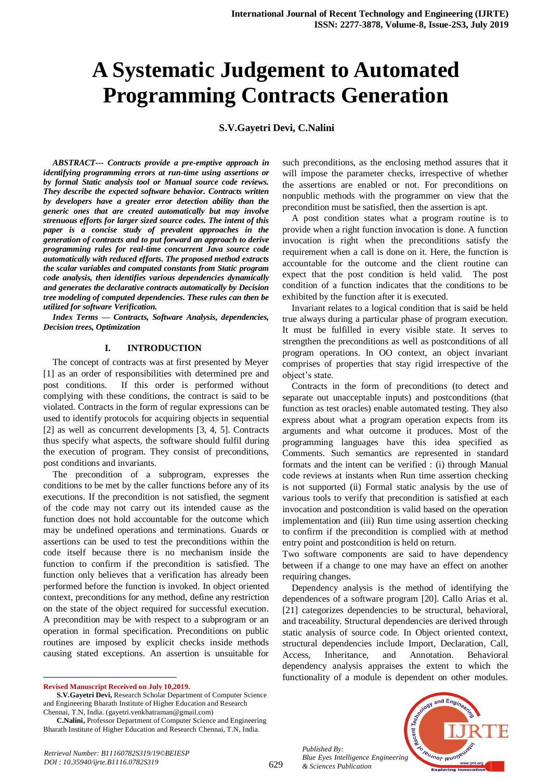# **A Systematic Judgement to Automated Programming Contracts Generation**

**S.V.Gayetri Devi, C.Nalini**

*ABSTRACT--- Contracts provide a pre-emptive approach in identifying programming errors at run-time using assertions or by formal Static analysis tool or Manual source code reviews. They describe the expected software behavior. Contracts written by developers have a greater error detection ability than the generic ones that are created automatically but may involve strenuous efforts for larger sized source codes. The intent of this paper is a concise study of prevalent approaches in the generation of contracts and to put forward an approach to derive programming rules for real-time concurrent Java source code automatically with reduced efforts. The proposed method extracts the scalar variables and computed constants from Static program code analysis, then identifies various dependencies dynamically and generates the declarative contracts automatically by Decision tree modeling of computed dependencies. These rules can then be utilized for software Verification.*

*Index Terms — Contracts, Software Analysis, dependencies, Decision trees, Optimization*

### **I. INTRODUCTION**

The concept of contracts was at first presented by Meyer [1] as an order of responsibilities with determined pre and post conditions. If this order is performed without complying with these conditions, the contract is said to be violated. Contracts in the form of regular expressions can be used to identify protocols for acquiring objects in sequential [2] as well as concurrent developments [3, 4, 5]. Contracts thus specify what aspects, the software should fulfil during the execution of program. They consist of preconditions, post conditions and invariants.

The precondition of a subprogram, expresses the conditions to be met by the caller functions before any of its executions. If the precondition is not satisfied, the segment of the code may not carry out its intended cause as the function does not hold accountable for the outcome which may be undefined operations and terminations. Guards or assertions can be used to test the preconditions within the code itself because there is no mechanism inside the function to confirm if the precondition is satisfied. The function only believes that a verification has already been performed before the function is invoked. In object oriented context, preconditions for any method, define any restriction on the state of the object required for successful execution. A precondition may be with respect to a subprogram or an operation in formal specification. Preconditions on public routines are imposed by explicit checks inside methods causing stated exceptions. An assertion is unsuitable for

**Revised Manuscript Received on July 10,2019.**

 $\ddot{\phantom{a}}$ 

**S.V.Gayetri Devi,** Research Scholar Department of Computer Science and Engineering Bharath Institute of Higher Education and Research Chennai, T.N, India. (gayetri.venkhatraman@gmail.com)

such preconditions, as the enclosing method assures that it will impose the parameter checks, irrespective of whether the assertions are enabled or not. For preconditions on nonpublic methods with the programmer on view that the precondition must be satisfied, then the assertion is apt.

A post condition states what a program routine is to provide when a right function invocation is done. A function invocation is right when the preconditions satisfy the requirement when a call is done on it. Here, the function is accountable for the outcome and the client routine can expect that the post condition is held valid. The post condition of a function indicates that the conditions to be exhibited by the function after it is executed.

Invariant relates to a logical condition that is said be held true always during a particular phase of program execution. It must be fulfilled in every visible state. It serves to strengthen the preconditions as well as postconditions of all program operations. In OO context, an object invariant comprises of properties that stay rigid irrespective of the object's state.

Contracts in the form of preconditions (to detect and separate out unacceptable inputs) and postconditions (that function as test oracles) enable automated testing. They also express about what a program operation expects from its arguments and what outcome it produces. Most of the programming languages have this idea specified as Comments. Such semantics are represented in standard formats and the intent can be verified : (i) through Manual code reviews at instants when Run time assertion checking is not supported (ii) Formal static analysis by the use of various tools to verify that precondition is satisfied at each invocation and postcondition is valid based on the operation implementation and (iii) Run time using assertion checking to confirm if the precondition is complied with at method entry point and postcondition is held on return.

Two software components are said to have dependency between if a change to one may have an effect on another requiring changes.

Dependency analysis is the method of identifying the dependences of a software program [20]. Callo Arias et al. [21] categorizes dependencies to be structural, behavioral, and traceability. Structural dependencies are derived through static analysis of source code. In Object oriented context, structural dependencies include Import, Declaration, Call, Access, Inheritance, and Annotation. Behavioral dependency analysis appraises the extent to which the functionality of a module is dependent on other modules.

*Published By: Blue Eyes Intelligence Engineering & Sciences Publication* 



**C.Nalini,** Professor Department of Computer Science and Engineering Bharath Institute of Higher Education and Research Chennai, T.N, India.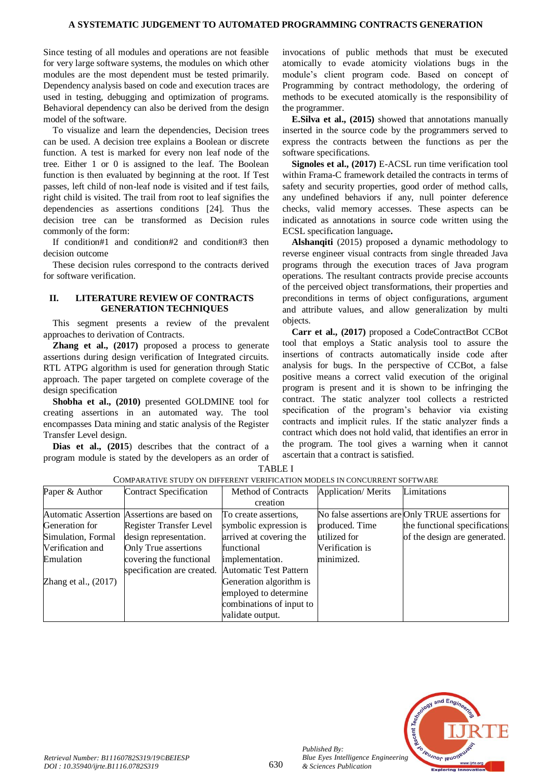Since testing of all modules and operations are not feasible for very large software systems, the modules on which other modules are the most dependent must be tested primarily. Dependency analysis based on code and execution traces are used in testing, debugging and optimization of programs. Behavioral dependency can also be derived from the design model of the software.

To visualize and learn the dependencies, Decision trees can be used. A decision tree explains a Boolean or discrete function. A test is marked for every non leaf node of the tree. Either 1 or 0 is assigned to the leaf. The Boolean function is then evaluated by beginning at the root. If Test passes, left child of non-leaf node is visited and if test fails, right child is visited. The trail from root to leaf signifies the dependencies as assertions conditions [24]. Thus the decision tree can be transformed as Decision rules commonly of the form:

If condition#1 and condition#2 and condition#3 then decision outcome

These decision rules correspond to the contracts derived for software verification.

### **II. LITERATURE REVIEW OF CONTRACTS GENERATION TECHNIQUES**

This segment presents a review of the prevalent approaches to derivation of Contracts.

**Zhang et al., (2017)** proposed a process to generate assertions during design verification of Integrated circuits. RTL ATPG algorithm is used for generation through Static approach. The paper targeted on complete coverage of the design specification

**Shobha et al., (2010)** presented GOLDMINE tool for creating assertions in an automated way. The tool encompasses Data mining and static analysis of the Register Transfer Level design.

**Dias et al., (2015**) describes that the contract of a program module is stated by the developers as an order of

invocations of public methods that must be executed atomically to evade atomicity violations bugs in the module's client program code. Based on concept of Programming by contract methodology, the ordering of methods to be executed atomically is the responsibility of the programmer.

**E.Silva et al., (2015)** showed that annotations manually inserted in the source code by the programmers served to express the contracts between the functions as per the software specifications.

**Signoles et al., (2017)** E-ACSL run time verification tool within Frama-C framework detailed the contracts in terms of safety and security properties, good order of method calls, any undefined behaviors if any, null pointer deference checks, valid memory accesses. These aspects can be indicated as annotations in source code written using the ECSL specification language**.** 

**Alshanqiti** (2015) proposed a dynamic methodology to reverse engineer visual contracts from single threaded Java programs through the execution traces of Java program operations. The resultant contracts provide precise accounts of the perceived object transformations, their properties and preconditions in terms of object configurations, argument and attribute values, and allow generalization by multi objects.

**Carr et al., (2017)** proposed a CodeContractBot CCBot tool that employs a Static analysis tool to assure the insertions of contracts automatically inside code after analysis for bugs. In the perspective of CCBot, a false positive means a correct valid execution of the original program is present and it is shown to be infringing the contract. The static analyzer tool collects a restricted specification of the program's behavior via existing contracts and implicit rules. If the static analyzer finds a contract which does not hold valid, that identifies an error in the program. The tool gives a warning when it cannot ascertain that a contract is satisfied.

| Paper & Author         | <b>Contract Specification</b>               | Method of Contracts           | Application/Merits | Limitations                                      |
|------------------------|---------------------------------------------|-------------------------------|--------------------|--------------------------------------------------|
|                        |                                             | creation                      |                    |                                                  |
|                        | Automatic Assertion Assertions are based on | To create assertions,         |                    | No false assertions are Only TRUE assertions for |
| Generation for         | Register Transfer Level                     | symbolic expression is        | produced. Time     | the functional specifications                    |
| Simulation, Formal     | design representation.                      | arrived at covering the       | utilized for       | of the design are generated.                     |
| Verification and       | Only True assertions                        | functional                    | Verification is    |                                                  |
| Emulation              | covering the functional                     | implementation.               | minimized.         |                                                  |
|                        | specification are created.                  | <b>Automatic Test Pattern</b> |                    |                                                  |
| Zhang et al., $(2017)$ |                                             | Generation algorithm is       |                    |                                                  |
|                        |                                             | employed to determine         |                    |                                                  |
|                        |                                             | combinations of input to      |                    |                                                  |
|                        |                                             | validate output.              |                    |                                                  |

TABLE I COMPARATIVE STUDY ON DIFFERENT VERIFICATION MODELS IN CONCURRENT SOFTWARE



*Published By:*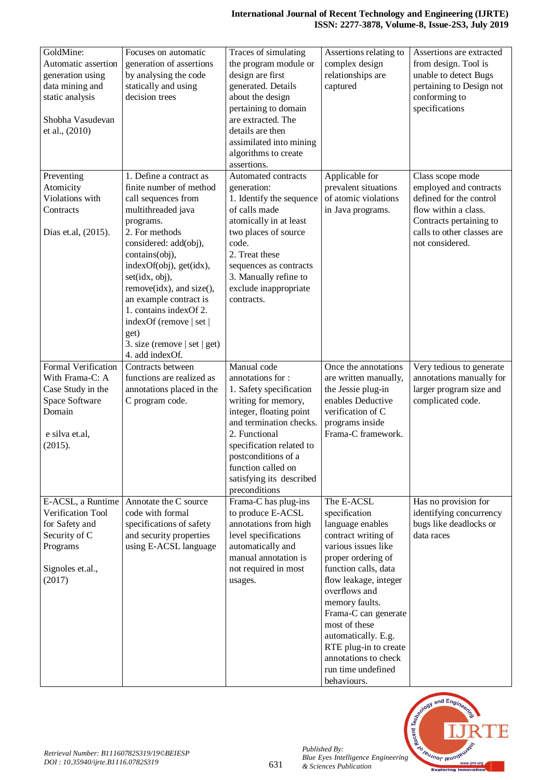| GoldMine:<br>Automatic assertion<br>generation using<br>data mining and<br>static analysis<br>Shobha Vasudevan<br>et al., (2010) | Focuses on automatic<br>generation of assertions<br>by analysing the code<br>statically and using<br>decision trees                                                                                                                                                                                                                                                                           | Traces of simulating<br>the program module or<br>design are first<br>generated. Details<br>about the design<br>pertaining to domain<br>are extracted. The<br>details are then<br>assimilated into mining<br>algorithms to create<br>assertions.                                 | Assertions relating to<br>complex design<br>relationships are<br>captured                                                                                                                                                                                                                                                                                     | Assertions are extracted<br>from design. Tool is<br>unable to detect Bugs<br>pertaining to Design not<br>conforming to<br>specifications                                  |
|----------------------------------------------------------------------------------------------------------------------------------|-----------------------------------------------------------------------------------------------------------------------------------------------------------------------------------------------------------------------------------------------------------------------------------------------------------------------------------------------------------------------------------------------|---------------------------------------------------------------------------------------------------------------------------------------------------------------------------------------------------------------------------------------------------------------------------------|---------------------------------------------------------------------------------------------------------------------------------------------------------------------------------------------------------------------------------------------------------------------------------------------------------------------------------------------------------------|---------------------------------------------------------------------------------------------------------------------------------------------------------------------------|
| Preventing<br>Atomicity<br>Violations with<br>Contracts<br>Dias et.al, (2015).                                                   | 1. Define a contract as<br>finite number of method<br>call sequences from<br>multithreaded java<br>programs.<br>2. For methods<br>considered: add(obj),<br>contains(obj),<br>indexOf(obj), get(idx),<br>set(idx, obj),<br>remove(idx), and size(),<br>an example contract is<br>1. contains index Of 2.<br>indexOf (remove   set  <br>get)<br>3. size (remove $ set $ get)<br>4. add indexOf. | Automated contracts<br>generation:<br>1. Identify the sequence<br>of calls made<br>atomically in at least<br>two places of source<br>code.<br>2. Treat these<br>sequences as contracts<br>3. Manually refine to<br>exclude inappropriate<br>contracts.                          | Applicable for<br>prevalent situations<br>of atomic violations<br>in Java programs.                                                                                                                                                                                                                                                                           | Class scope mode<br>employed and contracts<br>defined for the control<br>flow within a class.<br>Contracts pertaining to<br>calls to other classes are<br>not considered. |
| Formal Verification<br>With Frama-C: A<br>Case Study in the<br>Space Software<br>Domain<br>e silva et.al,<br>(2015).             | Contracts between<br>functions are realized as<br>annotations placed in the<br>C program code.                                                                                                                                                                                                                                                                                                | Manual code<br>annotations for :<br>1. Safety specification<br>writing for memory,<br>integer, floating point<br>and termination checks.<br>2. Functional<br>specification related to<br>postconditions of a<br>function called on<br>satisfying its described<br>preconditions | Once the annotations<br>are written manually,<br>the Jessie plug-in<br>enables Deductive<br>verification of C<br>programs inside<br>Frama-C framework.                                                                                                                                                                                                        | Very tedious to generate<br>annotations manually for<br>larger program size and<br>complicated code.                                                                      |
| E-ACSL, a Runtime<br>Verification Tool<br>for Safety and<br>Security of C<br>Programs<br>Signoles et.al.,<br>(2017)              | Annotate the C source<br>code with formal<br>specifications of safety<br>and security properties<br>using E-ACSL language                                                                                                                                                                                                                                                                     | Frama-C has plug-ins<br>to produce E-ACSL<br>annotations from high<br>level specifications<br>automatically and<br>manual annotation is<br>not required in most<br>usages.                                                                                                      | The E-ACSL<br>specification<br>language enables<br>contract writing of<br>various issues like<br>proper ordering of<br>function calls, data<br>flow leakage, integer<br>overflows and<br>memory faults.<br>Frama-C can generate<br>most of these<br>automatically. E.g.<br>RTE plug-in to create<br>annotations to check<br>run time undefined<br>behaviours. | Has no provision for<br>identifying concurrency<br>bugs like deadlocks or<br>data races                                                                                   |



*Published By:*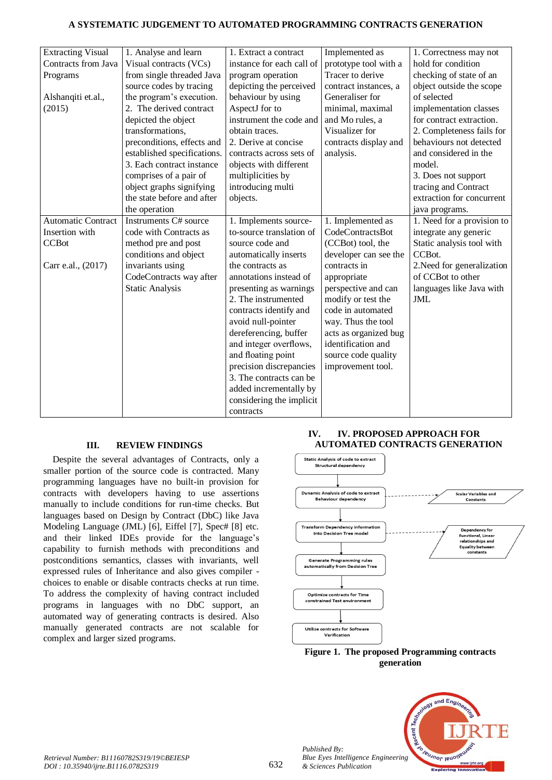| <b>Extracting Visual</b>  | 1. Analyse and learn        | 1. Extract a contract     | Implemented as        | 1. Correctness may not     |
|---------------------------|-----------------------------|---------------------------|-----------------------|----------------------------|
| Contracts from Java       | Visual contracts (VCs)      | instance for each call of | prototype tool with a | hold for condition         |
| Programs                  | from single threaded Java   | program operation         | Tracer to derive      | checking of state of an    |
|                           | source codes by tracing     | depicting the perceived   | contract instances, a | object outside the scope   |
| Alshanqiti et.al.,        | the program's execution.    | behaviour by using        | Generaliser for       | of selected                |
| (2015)                    | 2. The derived contract     | AspectJ for to            | minimal, maximal      | implementation classes     |
|                           | depicted the object         | instrument the code and   | and Mo rules, a       | for contract extraction.   |
|                           | transformations.            | obtain traces.            | Visualizer for        | 2. Completeness fails for  |
|                           | preconditions, effects and  | 2. Derive at concise      | contracts display and | behaviours not detected    |
|                           | established specifications. | contracts across sets of  | analysis.             | and considered in the      |
|                           | 3. Each contract instance   | objects with different    |                       | model.                     |
|                           | comprises of a pair of      | multiplicities by         |                       | 3. Does not support        |
|                           | object graphs signifying    | introducing multi         |                       | tracing and Contract       |
|                           | the state before and after  | objects.                  |                       | extraction for concurrent  |
|                           | the operation               |                           |                       | java programs.             |
| <b>Automatic Contract</b> | Instruments C# source       | 1. Implements source-     | 1. Implemented as     | 1. Need for a provision to |
| Insertion with            | code with Contracts as      | to-source translation of  | CodeContractsBot      | integrate any generic      |
| <b>CCBot</b>              | method pre and post         | source code and           | (CCBot) tool, the     | Static analysis tool with  |
|                           | conditions and object       | automatically inserts     | developer can see the | CCBot.                     |
| Carr e.al., (2017)        | invariants using            | the contracts as          | contracts in          | 2. Need for generalization |
|                           | CodeContracts way after     | annotations instead of    | appropriate           | of CCBot to other          |
|                           | <b>Static Analysis</b>      | presenting as warnings    | perspective and can   | languages like Java with   |
|                           |                             | 2. The instrumented       | modify or test the    | <b>JML</b>                 |
|                           |                             | contracts identify and    | code in automated     |                            |
|                           |                             | avoid null-pointer        | way. Thus the tool    |                            |
|                           |                             | dereferencing, buffer     | acts as organized bug |                            |
|                           |                             | and integer overflows,    | identification and    |                            |
|                           |                             | and floating point        | source code quality   |                            |
|                           |                             | precision discrepancies   | improvement tool.     |                            |
|                           |                             | 3. The contracts can be   |                       |                            |
|                           |                             | added incrementally by    |                       |                            |
|                           |                             | considering the implicit  |                       |                            |
|                           |                             | contracts                 |                       |                            |

# **III. REVIEW FINDINGS**

Despite the several advantages of Contracts, only a smaller portion of the source code is contracted. Many programming languages have no built-in provision for contracts with developers having to use assertions manually to include conditions for run-time checks. But languages based on Design by Contract (DbC) like Java Modeling Language (JML) [6], Eiffel [7], Spec# [8] etc. and their linked IDEs provide for the language's capability to furnish methods with preconditions and postconditions semantics, classes with invariants, well expressed rules of Inheritance and also gives compiler choices to enable or disable contracts checks at run time. To address the complexity of having contract included programs in languages with no DbC support, an automated way of generating contracts is desired. Also manually generated contracts are not scalable for complex and larger sized programs.

# **IV. IV. PROPOSED APPROACH FOR AUTOMATED CONTRACTS GENERATION**



**Figure 1. The proposed Programming contracts generation**



*Published By:*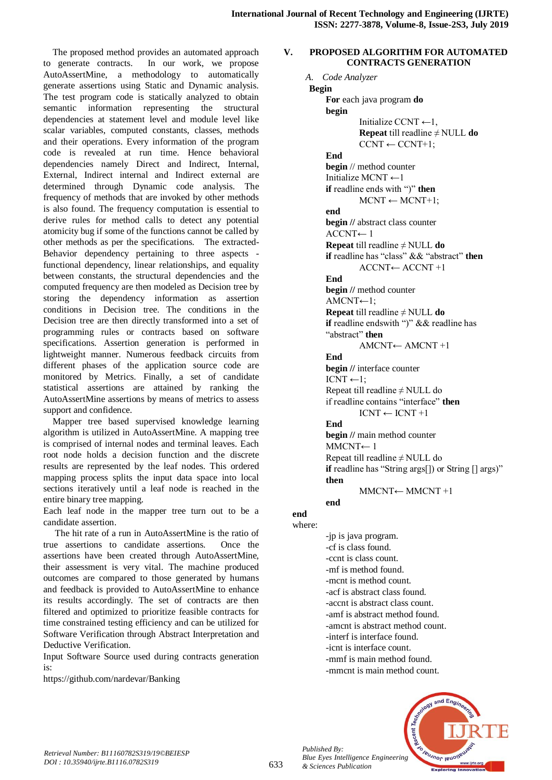The proposed method provides an automated approach to generate contracts. In our work, we propose AutoAssertMine, a methodology to automatically generate assertions using Static and Dynamic analysis. The test program code is statically analyzed to obtain semantic information representing the structural dependencies at statement level and module level like scalar variables, computed constants, classes, methods and their operations. Every information of the program code is revealed at run time. Hence behavioral dependencies namely Direct and Indirect, Internal, External, Indirect internal and Indirect external are determined through Dynamic code analysis. The frequency of methods that are invoked by other methods is also found. The frequency computation is essential to derive rules for method calls to detect any potential atomicity bug if some of the functions cannot be called by other methods as per the specifications. The extracted-Behavior dependency pertaining to three aspects functional dependency, linear relationships, and equality between constants, the structural dependencies and the computed frequency are then modeled as Decision tree by storing the dependency information as assertion conditions in Decision tree. The conditions in the Decision tree are then directly transformed into a set of programming rules or contracts based on software specifications. Assertion generation is performed in lightweight manner. Numerous feedback circuits from different phases of the application source code are monitored by Metrics. Finally, a set of candidate statistical assertions are attained by ranking the AutoAssertMine assertions by means of metrics to assess support and confidence.

Mapper tree based supervised knowledge learning algorithm is utilized in AutoAssertMine. A mapping tree is comprised of internal nodes and terminal leaves. Each root node holds a decision function and the discrete results are represented by the leaf nodes. This ordered mapping process splits the input data space into local sections iteratively until a leaf node is reached in the entire binary tree mapping.

Each leaf node in the mapper tree turn out to be a candidate assertion.

The hit rate of a run in AutoAssertMine is the ratio of true assertions to candidate assertions. Once the assertions have been created through AutoAssertMine, their assessment is very vital. The machine produced outcomes are compared to those generated by humans and feedback is provided to AutoAssertMine to enhance its results accordingly. The set of contracts are then filtered and optimized to prioritize feasible contracts for time constrained testing efficiency and can be utilized for Software Verification through Abstract Interpretation and Deductive Verification.

Input Software Source used during contracts generation is:

https://github.com/nardevar/Banking

# **V. PROPOSED ALGORITHM FOR AUTOMATED CONTRACTS GENERATION**

# *A. Code Analyzer* **Begin For** each java program **do begin**  Initialize CCNT  $\leftarrow$ 1, **Repeat** till readline ≠ NULL **do**   $CCNT \leftarrow CCNT+1;$ **End begin** // method counter Initialize MCNT  $\leftarrow$ 1 **if** readline ends with ")" **then**   $MCNT \leftarrow MCNT+1$ : **end begin //** abstract class counter  $ACCNT \leftarrow 1$ **Repeat** till readline ≠ NULL **do if** readline has "class" && "abstract" **then**  ACCNT← ACCNT +1 **End begin //** method counter AMCNT←1; **Repeat** till readline ≠ NULL **do if** readline endswith ")" && readline has "abstract" **then**  AMCNT← AMCNT +1 **End begin //** interface counter  $ICNT \leftarrow 1$ ; Repeat till readline ≠ NULL do if readline contains "interface" **then**   $ICNT \leftarrow ICNT + 1$ **End begin //** main method counter MMCNT← 1 Repeat till readline ≠ NULL do **if** readline has "String args[]) or String [] args)" **then**  MMCNT← MMCNT +1 **end**

### **end**  where:

-jp is java program. -cf is class found. -ccnt is class count. -mf is method found. -mcnt is method count. -acf is abstract class found. -accnt is abstract class count. -amf is abstract method found. -amcnt is abstract method count. -interf is interface found. -icnt is interface count. -mmf is main method found. -mmcnt is main method count.



*Published By:*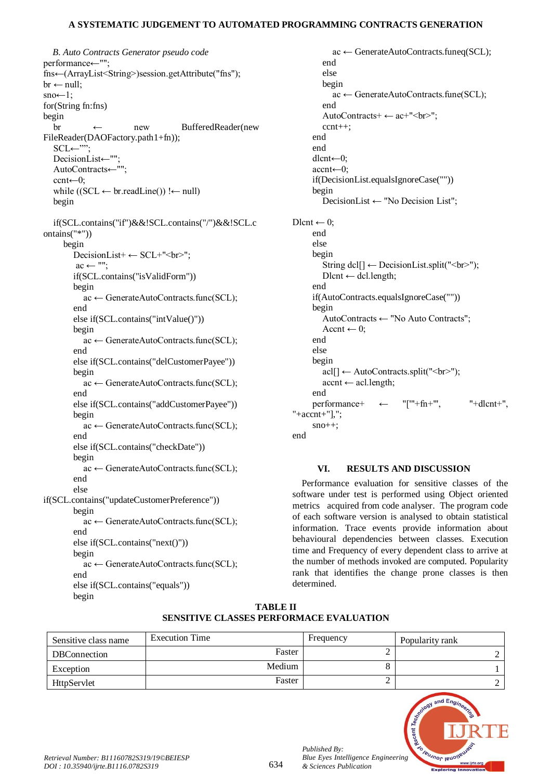*B. Auto Contracts Generator pseudo code* performance←""; fns←(ArrayList<String>)session.getAttribute("fns");  $br \leftarrow null;$ sno←1; for(String fn:fns) begin br ← new BufferedReader(new FileReader(DAOFactory.path1+fn)); SCL←""; DecisionList←""; AutoContracts←"";  $cent \leftarrow 0$ : while  $((SCL \leftarrow br.readLine)) ! \leftarrow null)$ begin if(SCL.contains("if")&&!SCL.contains("/")&&!SCL.c ontains("\*")) begin DecisionList+ ← SCL+"<br>"; ac ← ""; if(SCL.contains("isValidForm")) begin ac ← GenerateAutoContracts.func(SCL); end else if(SCL.contains("intValue()")) begin ac ← GenerateAutoContracts.func(SCL); end else if(SCL.contains("delCustomerPayee")) begin ac ← GenerateAutoContracts.func(SCL); end else if(SCL.contains("addCustomerPayee")) begin ac ← GenerateAutoContracts.func(SCL); end else if(SCL.contains("checkDate")) begin ac ← GenerateAutoContracts.func(SCL); end else if(SCL.contains("updateCustomerPreference")) begin ac ← GenerateAutoContracts.func(SCL); end else if(SCL.contains("next()")) begin ac ← GenerateAutoContracts.func(SCL); end else if(SCL.contains("equals")) begin

ac ← GenerateAutoContracts.funeq(SCL); end else begin ac ← GenerateAutoContracts.fune(SCL); end AutoContracts+ ← ac+"<br>"; ccnt++; end end dlcnt←0; accnt←0; if(DecisionList.equalsIgnoreCase("")) begin DecisionList ← "No Decision List"; Dlcnt  $\leftarrow$  0; end else begin String dcl[] ← DecisionList.split("<br/>st>"); Dlcnt  $\leftarrow$  dcl.length; end if(AutoContracts.equalsIgnoreCase("")) begin AutoContracts ← "No Auto Contracts";  $Acent \leftarrow 0$ ; end else begin  $\text{acl}[\ ] \leftarrow \text{AutoContracts.split}(">")$ ;  $\alpha$ ccnt ← acl.length: end performance+  $\leftarrow$  "['"+fn+"', "+dlcnt+", "+accnt+"],";  $sno++$ ; end

# **VI. RESULTS AND DISCUSSION**

Performance evaluation for sensitive classes of the software under test is performed using Object oriented metrics acquired from code analyser. The program code of each software version is analysed to obtain statistical information. Trace events provide information about behavioural dependencies between classes. Execution time and Frequency of every dependent class to arrive at the number of methods invoked are computed. Popularity rank that identifies the change prone classes is then determined.

| Sensitive class name | <b>Execution Time</b> | Frequency | Popularity rank |
|----------------------|-----------------------|-----------|-----------------|
| <b>DBC</b> onnection | Faster                |           |                 |
| Exception            | Medium                |           |                 |
| HttpServlet          | Faster                |           |                 |

### **TABLE II SENSITIVE CLASSES PERFORMACE EVALUATION**



*Published By:*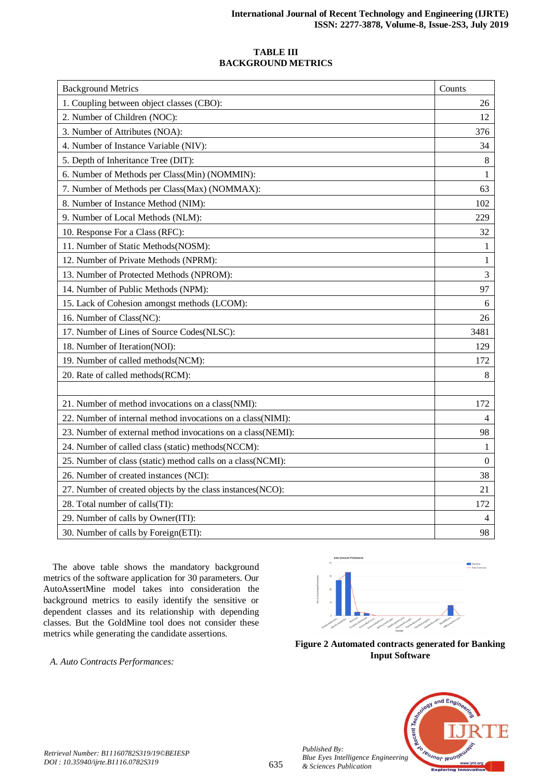# **TABLE III BACKGROUND METRICS**

| <b>Background Metrics</b>                                   | Counts           |
|-------------------------------------------------------------|------------------|
| 1. Coupling between object classes (CBO):                   | 26               |
| 2. Number of Children (NOC):                                | 12               |
| 3. Number of Attributes (NOA):                              | 376              |
| 4. Number of Instance Variable (NIV):                       | 34               |
| 5. Depth of Inheritance Tree (DIT):                         | $8\,$            |
| 6. Number of Methods per Class(Min) (NOMMIN):               | 1                |
| 7. Number of Methods per Class(Max) (NOMMAX):               | 63               |
| 8. Number of Instance Method (NIM):                         | 102              |
| 9. Number of Local Methods (NLM):                           | 229              |
| 10. Response For a Class (RFC):                             | 32               |
| 11. Number of Static Methods(NOSM):                         | 1                |
| 12. Number of Private Methods (NPRM):                       | 1                |
| 13. Number of Protected Methods (NPROM):                    | 3                |
| 14. Number of Public Methods (NPM):                         | 97               |
| 15. Lack of Cohesion amongst methods (LCOM):                | 6                |
| 16. Number of Class(NC):                                    | 26               |
| 17. Number of Lines of Source Codes(NLSC):                  | 3481             |
| 18. Number of Iteration(NOI):                               | 129              |
| 19. Number of called methods(NCM):                          | 172              |
| 20. Rate of called methods(RCM):                            | $8\,$            |
|                                                             |                  |
| 21. Number of method invocations on a class(NMI):           | 172              |
| 22. Number of internal method invocations on a class(NIMI): | 4                |
| 23. Number of external method invocations on a class(NEMI): | 98               |
| 24. Number of called class (static) methods(NCCM):          | 1                |
| 25. Number of class (static) method calls on a class(NCMI): | $\boldsymbol{0}$ |
| 26. Number of created instances (NCI):                      | 38               |
| 27. Number of created objects by the class instances(NCO):  | 21               |
| 28. Total number of calls(TI):                              | 172              |
| 29. Number of calls by Owner(ITI):                          | 4                |
| 30. Number of calls by Foreign(ETI):                        | 98               |

The above table shows the mandatory background metrics of the software application for 30 parameters. Our AutoAssertMine model takes into consideration the background metrics to easily identify the sensitive or dependent classes and its relationship with depending classes. But the GoldMine tool does not consider these metrics while generating the candidate assertions.





**Figure 2 Automated contracts generated for Banking Input Software**



*Published By:*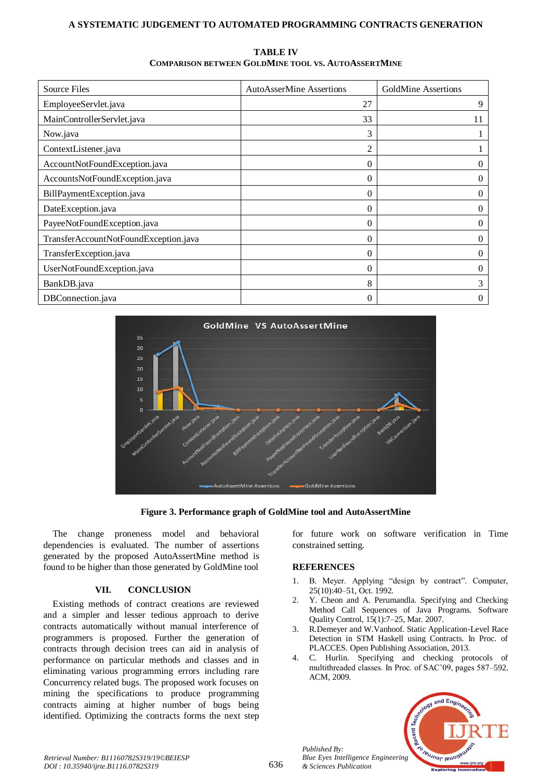| <b>Source Files</b>                   | <b>AutoAsserMine Assertions</b> | <b>GoldMine Assertions</b> |
|---------------------------------------|---------------------------------|----------------------------|
| EmployeeServlet.java                  | 27                              | 9                          |
| MainControllerServlet.java            | 33                              | 11                         |
| Now.java                              | 3                               |                            |
| ContextListener.java                  | 2                               |                            |
| AccountNotFoundException.java         | 0                               | 0                          |
| AccountsNotFoundException.java        | $\theta$                        | 0                          |
| BillPaymentException.java             | 0                               | $\theta$                   |
| DateException.java                    | 0                               | $\theta$                   |
| PayeeNotFoundException.java           | 0                               | $\theta$                   |
| TransferAccountNotFoundException.java | 0                               | $\theta$                   |
| TransferException.java                | 0                               | 0                          |
| UserNotFoundException.java            | 0                               | $\Omega$                   |
| BankDB.java                           | 8                               | 3                          |
| DBConnection.java                     | 0                               | $\theta$                   |

**TABLE IV COMPARISON BETWEEN GOLDMINE TOOL VS. AUTOASSERTMINE**



**Figure 3. Performance graph of GoldMine tool and AutoAssertMine**

The change proneness model and behavioral dependencies is evaluated. The number of assertions generated by the proposed AutoAssertMine method is found to be higher than those generated by GoldMine tool

# **VII. CONCLUSION**

Existing methods of contract creations are reviewed and a simpler and lesser tedious approach to derive contracts automatically without manual interference of programmers is proposed. Further the generation of contracts through decision trees can aid in analysis of performance on particular methods and classes and in eliminating various programming errors including rare Concurrency related bugs. The proposed work focuses on mining the specifications to produce programming contracts aiming at higher number of bugs being identified. Optimizing the contracts forms the next step

for future work on software verification in Time constrained setting.

# **REFERENCES**

- 1. B. Meyer. Applying "design by contract". Computer, 25(10):40–51, Oct. 1992.
- 2. Y. Cheon and A. Perumandla. Specifying and Checking Method Call Sequences of Java Programs. Software Quality Control, 15(1):7–25, Mar. 2007.
- 3. R.Demeyer and W.Vanhoof. Static Application-Level Race Detection in STM Haskell using Contracts. In Proc. of PLACCES. Open Publishing Association, 2013.
- 4. C. Hurlin. Specifying and checking protocols of multithreaded classes. In Proc. of SAC'09, pages 587–592. ACM, 2009.



*Retrieval Number: B11160782S319/19©BEIESP DOI : 10.35940/ijrte.B1116.0782S319*

*Published By: Blue Eyes Intelligence Engineering & Sciences Publication*